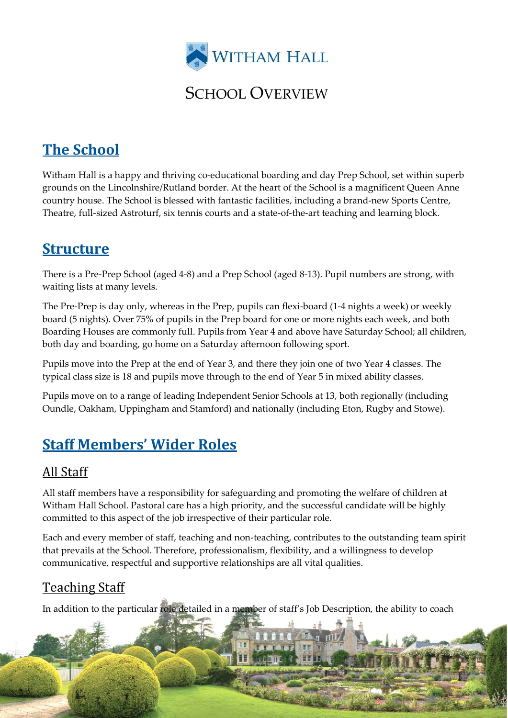

### SCHOOL OVERVIEW

# **The School**

Witham Hall is a happy and thriving co-educational boarding and day Prep School, set within superb grounds on the Lincolnshire/Rutland border. At the heart of the School is a magnificent Queen Anne country house. The School is blessed with fantastic facilities, including a brand-new Sports Centre, Theatre, full-sized Astroturf, six tennis courts and a state-of-the-art teaching and learning block.

### **Structure**

There is a Pre-Prep School (aged 4-8) and a Prep School (aged 8-13). Pupil numbers are strong, with waiting lists at many levels.

The Pre-Prep is day only, whereas in the Prep, pupils can flexi-board (1-4 nights a week) or weekly board (5 nights). Over 75% of pupils in the Prep board for one or more nights each week, and both Boarding Houses are commonly full. Pupils from Year 4 and above have Saturday School; all children, both day and boarding, go home on a Saturday afternoon following sport.

Pupils move into the Prep at the end of Year 3, and there they join one of two Year 4 classes. The typical class size is 18 and pupils move through to the end of Year 5 in mixed ability classes.

Pupils move on to a range of leading Independent Senior Schools at 13, both regionally (including Oundle, Oakham, Uppingham and Stamford) and nationally (including Eton, Rugby and Stowe).

# **Staff Members' Wider Roles**

#### All Staff

All staff members have a responsibility for safeguarding and promoting the welfare of children at Witham Hall School. Pastoral care has a high priority, and the successful candidate will be highly committed to this aspect of the job irrespective of their particular role.

Each and every member of staff, teaching and non-teaching, contributes to the outstanding team spirit that prevails at the School. Therefore, professionalism, flexibility, and a willingness to develop communicative, respectful and supportive relationships are all vital qualities.

### Teaching Staff

In addition to the particular role detailed in a member of staff's Job Description, the ability to coach